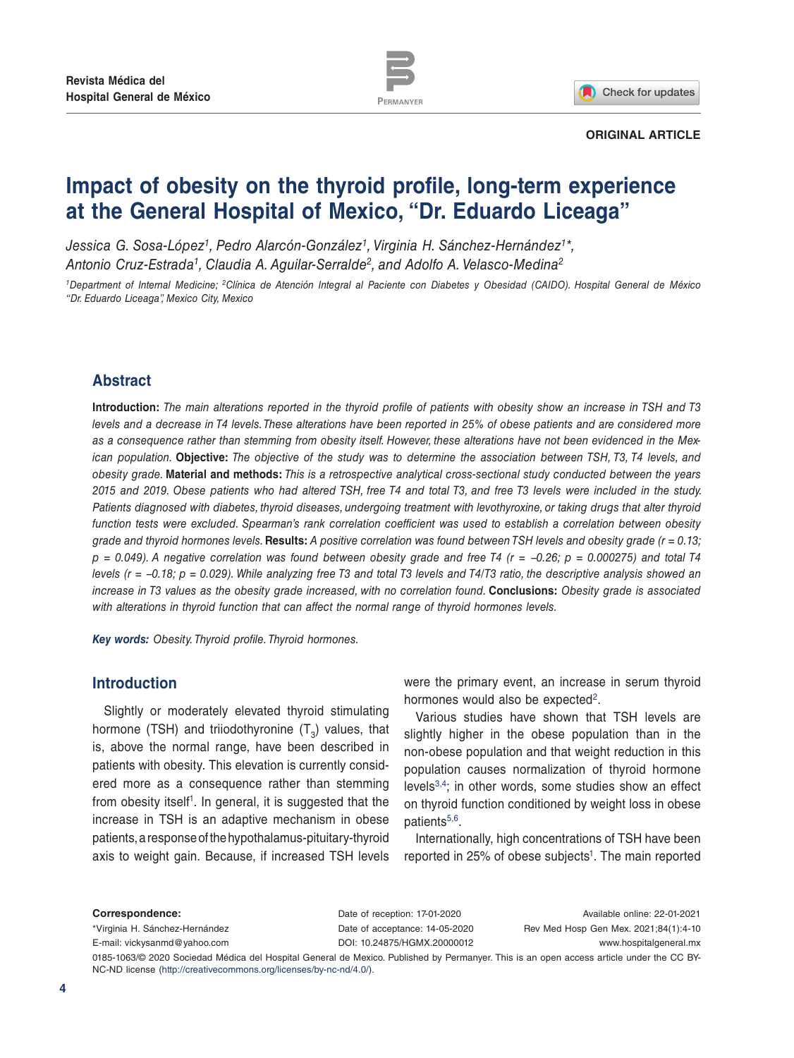

Check for updates

#### **ORIGINAL ARTICLE**

# **Impact of obesity on the thyroid profile, long-term experience at the General Hospital of Mexico, "Dr. Eduardo Liceaga"**

*Jessica G. Sosa-López1, Pedro Alarcón-González1, Virginia H. Sánchez-Hernández1\*, Antonio Cruz-Estrada1, Claudia A. Aguilar-Serralde2, and Adolfo A. Velasco-Medina2*

*1Department of Internal Medicine; 2Clínica de Atención Integral al Paciente con Diabetes y Obesidad (CAIDO). Hospital General de México "Dr. Eduardo Liceaga", Mexico City, Mexico*

# **Abstract**

**Introduction:** *The main alterations reported in the thyroid profile of patients with obesity show an increase in TSH and T3 levels and a decrease in T4 levels. These alterations have been reported in 25% of obese patients and are considered more as a consequence rather than stemming from obesity itself. However, these alterations have not been evidenced in the Mexican population.* **Objective:** *The objective of the study was to determine the association between TSH, T3, T4 levels, and obesity grade.* **Material and methods:** *This is a retrospective analytical cross-sectional study conducted between the years 2015 and 2019. Obese patients who had altered TSH, free T4 and total T3, and free T3 levels were included in the study. Patients diagnosed with diabetes, thyroid diseases, undergoing treatment with levothyroxine, or taking drugs that alter thyroid function tests were excluded. Spearman's rank correlation coefficient was used to establish a correlation between obesity grade and thyroid hormones levels.* **Results:** *A positive correlation was found between TSH levels and obesity grade (r = 0.13; p = 0.049). A negative correlation was found between obesity grade and free T4 (r = −0.26; p = 0.000275) and total T4 levels (r = −0.18; p = 0.029). While analyzing free T3 and total T3 levels and T4/T3 ratio, the descriptive analysis showed an increase in T3 values as the obesity grade increased, with no correlation found.* **Conclusions:** *Obesity grade is associated with alterations in thyroid function that can affect the normal range of thyroid hormones levels.*

*Key words: Obesity. Thyroid profile. Thyroid hormones.*

# **Introduction**

Slightly or moderately elevated thyroid stimulating hormone (TSH) and triiodothyronine  $(T_2)$  values, that is, above the normal range, have been described in patients with obesity. This elevation is currently considered more as a consequence rather than stemming from obesity itself<sup>1</sup>. In general, it is suggested that the increase in TSH is an adaptive mechanism in obese patients, a response of the hypothalamus-pituitary-thyroid axis to weight gain. Because, if increased TSH levels were the primary event, an increase in serum thyroid hormones would also be expected<sup>2</sup>.

Various studies have shown that TSH levels are slightly higher in the obese population than in the non-obese population and that weight reduction in this population causes normalization of thyroid hormone levels3,4; in other words, some studies show an effect on thyroid function conditioned by weight loss in obese patients<sup>5,6</sup>.

Internationally, high concentrations of TSH have been reported in 25% of obese subjects<sup>1</sup>. The main reported

**Correspondence:** \*Virginia H. Sánchez-Hernández E-mail: vickysanmd@yahoo.com Date of reception: 17-01-2020 Date of acceptance: 14-05-2020 DOI: 10.24875/HGMX.20000012

Available online: 22-01-2021 Rev Med Hosp Gen Mex. 2021;84(1):4-10 www.hospitalgeneral.mx

0185-1063/© 2020 Sociedad Médica del Hospital General de Mexico. Published by Permanyer. This is an open access article under the CC BY-NC-ND license (http://creativecommons.org/licenses/by-nc-nd/4.0/).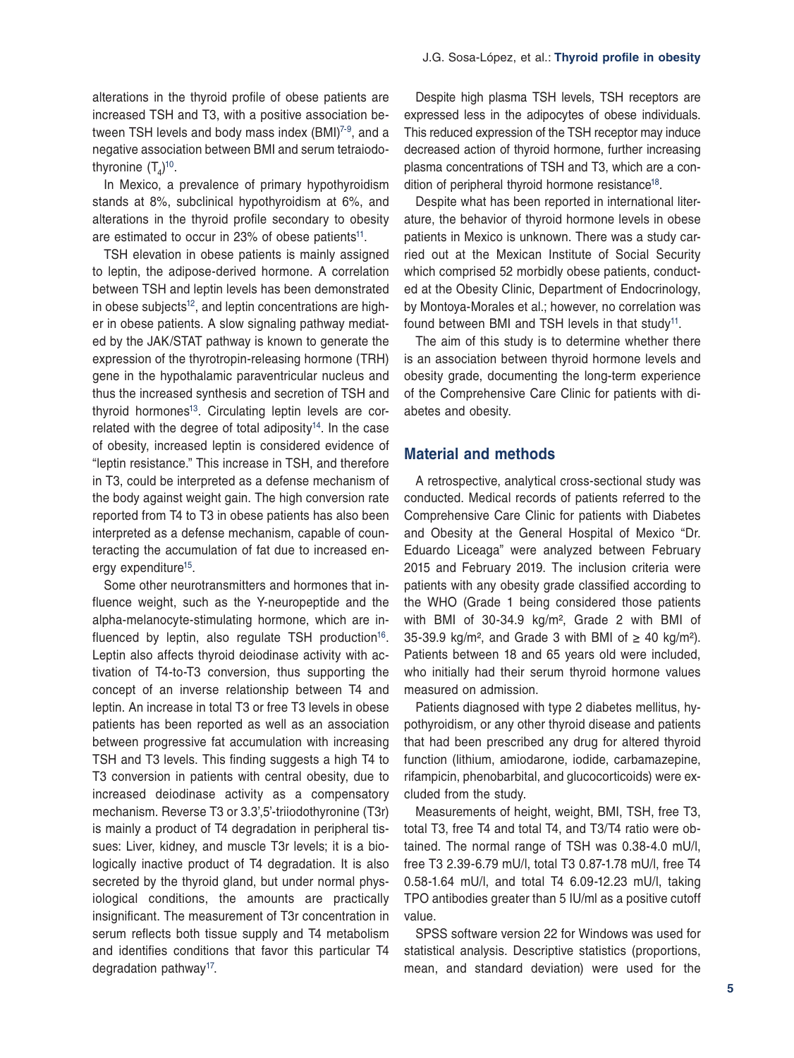alterations in the thyroid profile of obese patients are increased TSH and T3, with a positive association between TSH levels and body mass index (BMI)<sup>7-9</sup>, and a negative association between BMI and serum tetraiodothyronine  $(\mathsf{T}_{4})^{10}$ .

In Mexico, a prevalence of primary hypothyroidism stands at 8%, subclinical hypothyroidism at 6%, and alterations in the thyroid profile secondary to obesity are estimated to occur in 23% of obese patients<sup>11</sup>.

TSH elevation in obese patients is mainly assigned to leptin, the adipose-derived hormone. A correlation between TSH and leptin levels has been demonstrated in obese subjects $12$ , and leptin concentrations are higher in obese patients. A slow signaling pathway mediated by the JAK/STAT pathway is known to generate the expression of the thyrotropin-releasing hormone (TRH) gene in the hypothalamic paraventricular nucleus and thus the increased synthesis and secretion of TSH and thyroid hormones<sup>13</sup>. Circulating leptin levels are correlated with the degree of total adiposity $14$ . In the case of obesity, increased leptin is considered evidence of "leptin resistance." This increase in TSH, and therefore in T3, could be interpreted as a defense mechanism of the body against weight gain. The high conversion rate reported from T4 to T3 in obese patients has also been interpreted as a defense mechanism, capable of counteracting the accumulation of fat due to increased energy expenditure<sup>15</sup>.

Some other neurotransmitters and hormones that influence weight, such as the Y-neuropeptide and the alpha-melanocyte-stimulating hormone, which are influenced by leptin, also regulate TSH production<sup>16</sup>. Leptin also affects thyroid deiodinase activity with activation of T4-to-T3 conversion, thus supporting the concept of an inverse relationship between T4 and leptin. An increase in total T3 or free T3 levels in obese patients has been reported as well as an association between progressive fat accumulation with increasing TSH and T3 levels. This finding suggests a high T4 to T3 conversion in patients with central obesity, due to increased deiodinase activity as a compensatory mechanism. Reverse T3 or 3.3',5'-triiodothyronine (T3r) is mainly a product of T4 degradation in peripheral tissues: Liver, kidney, and muscle T3r levels; it is a biologically inactive product of T4 degradation. It is also secreted by the thyroid gland, but under normal physiological conditions, the amounts are practically insignificant. The measurement of T3r concentration in serum reflects both tissue supply and T4 metabolism and identifies conditions that favor this particular T4 degradation pathway<sup>17</sup>.

Despite high plasma TSH levels, TSH receptors are expressed less in the adipocytes of obese individuals. This reduced expression of the TSH receptor may induce decreased action of thyroid hormone, further increasing plasma concentrations of TSH and T3, which are a condition of peripheral thyroid hormone resistance<sup>18</sup>.

Despite what has been reported in international literature, the behavior of thyroid hormone levels in obese patients in Mexico is unknown. There was a study carried out at the Mexican Institute of Social Security which comprised 52 morbidly obese patients, conducted at the Obesity Clinic, Department of Endocrinology, by Montoya-Morales et al.; however, no correlation was found between BMI and TSH levels in that study<sup>11</sup>.

The aim of this study is to determine whether there is an association between thyroid hormone levels and obesity grade, documenting the long-term experience of the Comprehensive Care Clinic for patients with diabetes and obesity.

#### **Material and methods**

A retrospective, analytical cross-sectional study was conducted. Medical records of patients referred to the Comprehensive Care Clinic for patients with Diabetes and Obesity at the General Hospital of Mexico "Dr. Eduardo Liceaga" were analyzed between February 2015 and February 2019. The inclusion criteria were patients with any obesity grade classified according to the WHO (Grade 1 being considered those patients with BMI of 30-34.9 kg/m², Grade 2 with BMI of 35-39.9 kg/m<sup>2</sup>, and Grade 3 with BMI of  $\geq$  40 kg/m<sup>2</sup>). Patients between 18 and 65 years old were included, who initially had their serum thyroid hormone values measured on admission.

Patients diagnosed with type 2 diabetes mellitus, hypothyroidism, or any other thyroid disease and patients that had been prescribed any drug for altered thyroid function (lithium, amiodarone, iodide, carbamazepine, rifampicin, phenobarbital, and glucocorticoids) were excluded from the study.

Measurements of height, weight, BMI, TSH, free T3, total T3, free T4 and total T4, and T3/T4 ratio were obtained. The normal range of TSH was 0.38-4.0 mU/l, free T3 2.39-6.79 mU/l, total T3 0.87-1.78 mU/l, free T4 0.58-1.64 mU/l, and total T4 6.09-12.23 mU/l, taking TPO antibodies greater than 5 IU/ml as a positive cutoff value.

SPSS software version 22 for Windows was used for statistical analysis. Descriptive statistics (proportions, mean, and standard deviation) were used for the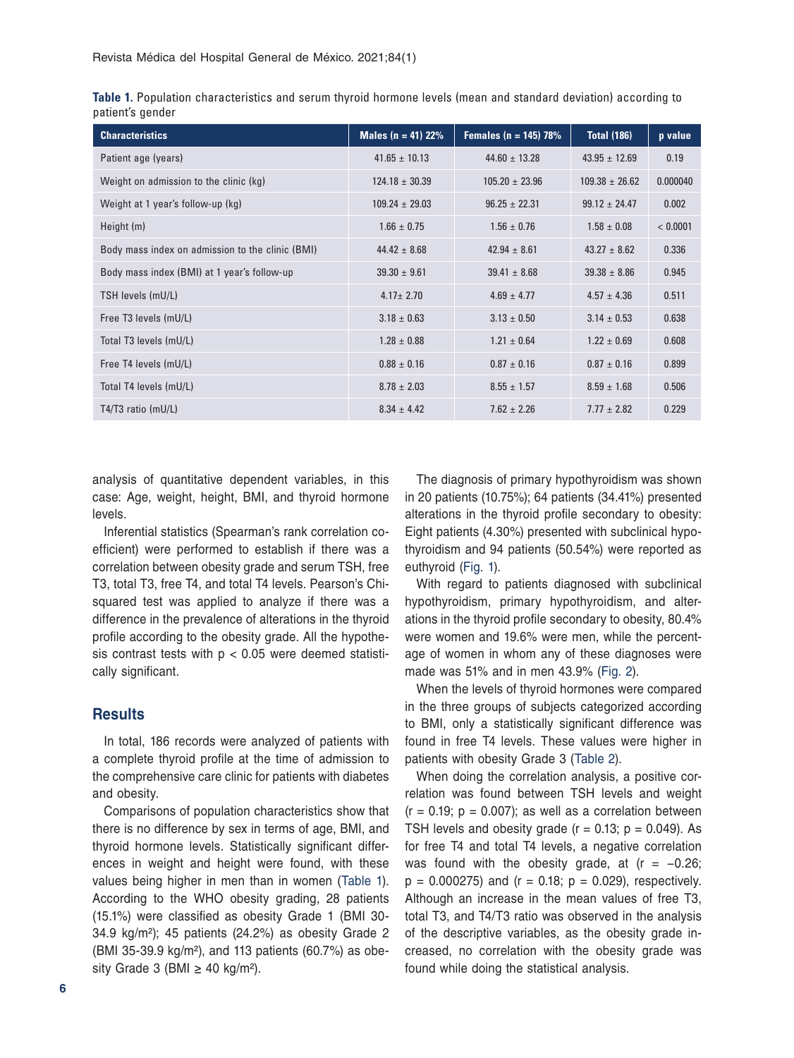| <b>Characteristics</b>                           | Males ( $n = 41$ ) 22% | Females ( $n = 145$ ) 78% | <b>Total (186)</b> | p value  |
|--------------------------------------------------|------------------------|---------------------------|--------------------|----------|
| Patient age (years)                              | $41.65 \pm 10.13$      | $44.60 \pm 13.28$         | $43.95 \pm 12.69$  | 0.19     |
| Weight on admission to the clinic (kg)           | $124.18 \pm 30.39$     | $105.20 \pm 23.96$        | $109.38 \pm 26.62$ | 0.000040 |
| Weight at 1 year's follow-up (kg)                | $109.24 \pm 29.03$     | $96.25 \pm 22.31$         | $99.12 \pm 24.47$  | 0.002    |
| Height (m)                                       | $1.66 \pm 0.75$        | $1.56 \pm 0.76$           | $1.58 \pm 0.08$    | < 0.0001 |
| Body mass index on admission to the clinic (BMI) | $44.42 \pm 8.68$       | $42.94 \pm 8.61$          | $43.27 \pm 8.62$   | 0.336    |
| Body mass index (BMI) at 1 year's follow-up      | $39.30 \pm 9.61$       | $39.41 \pm 8.68$          | $39.38 \pm 8.86$   | 0.945    |
| TSH levels (mU/L)                                | $4.17 \pm 2.70$        | $4.69 \pm 4.77$           | $4.57 \pm 4.36$    | 0.511    |
| Free T3 levels (mU/L)                            | $3.18 \pm 0.63$        | $3.13 \pm 0.50$           | $3.14 \pm 0.53$    | 0.638    |
| Total T3 levels (mU/L)                           | $1.28 \pm 0.88$        | $1.21 \pm 0.64$           | $1.22 \pm 0.69$    | 0.608    |
| Free T4 levels (mU/L)                            | $0.88 \pm 0.16$        | $0.87 \pm 0.16$           | $0.87 \pm 0.16$    | 0.899    |
| Total T4 levels (mU/L)                           | $8.78 \pm 2.03$        | $8.55 \pm 1.57$           | $8.59 \pm 1.68$    | 0.506    |
| T4/T3 ratio $(mU/L)$                             | $8.34 \pm 4.42$        | $7.62 \pm 2.26$           | $7.77 \pm 2.82$    | 0.229    |

| Table 1. Population characteristics and serum thyroid hormone levels (mean and standard deviation) according to |  |  |  |  |  |  |
|-----------------------------------------------------------------------------------------------------------------|--|--|--|--|--|--|
| patient's gender                                                                                                |  |  |  |  |  |  |

analysis of quantitative dependent variables, in this case: Age, weight, height, BMI, and thyroid hormone levels.

Inferential statistics (Spearman's rank correlation coefficient) were performed to establish if there was a correlation between obesity grade and serum TSH, free T3, total T3, free T4, and total T4 levels. Pearson's Chisquared test was applied to analyze if there was a difference in the prevalence of alterations in the thyroid profile according to the obesity grade. All the hypothesis contrast tests with  $p < 0.05$  were deemed statistically significant.

## **Results**

In total, 186 records were analyzed of patients with a complete thyroid profile at the time of admission to the comprehensive care clinic for patients with diabetes and obesity.

Comparisons of population characteristics show that there is no difference by sex in terms of age, BMI, and thyroid hormone levels. Statistically significant differences in weight and height were found, with these values being higher in men than in women (Table 1). According to the WHO obesity grading, 28 patients (15.1%) were classified as obesity Grade 1 (BMI 30- 34.9 kg/m²); 45 patients (24.2%) as obesity Grade 2 (BMI 35-39.9 kg/m²), and 113 patients (60.7%) as obesity Grade 3 (BMI  $\geq$  40 kg/m<sup>2</sup>).

The diagnosis of primary hypothyroidism was shown in 20 patients (10.75%); 64 patients (34.41%) presented alterations in the thyroid profile secondary to obesity: Eight patients (4.30%) presented with subclinical hypothyroidism and 94 patients (50.54%) were reported as euthyroid (Fig. 1).

With regard to patients diagnosed with subclinical hypothyroidism, primary hypothyroidism, and alterations in the thyroid profile secondary to obesity, 80.4% were women and 19.6% were men, while the percentage of women in whom any of these diagnoses were made was 51% and in men 43.9% (Fig. 2).

When the levels of thyroid hormones were compared in the three groups of subjects categorized according to BMI, only a statistically significant difference was found in free T4 levels. These values were higher in patients with obesity Grade 3 (Table 2).

When doing the correlation analysis, a positive correlation was found between TSH levels and weight  $(r = 0.19; p = 0.007)$ ; as well as a correlation between TSH levels and obesity grade  $(r = 0.13; p = 0.049)$ . As for free T4 and total T4 levels, a negative correlation was found with the obesity grade, at  $(r = -0.26;$  $p = 0.000275$ ) and ( $r = 0.18$ ;  $p = 0.029$ ), respectively. Although an increase in the mean values of free T3, total T3, and T4/T3 ratio was observed in the analysis of the descriptive variables, as the obesity grade increased, no correlation with the obesity grade was found while doing the statistical analysis.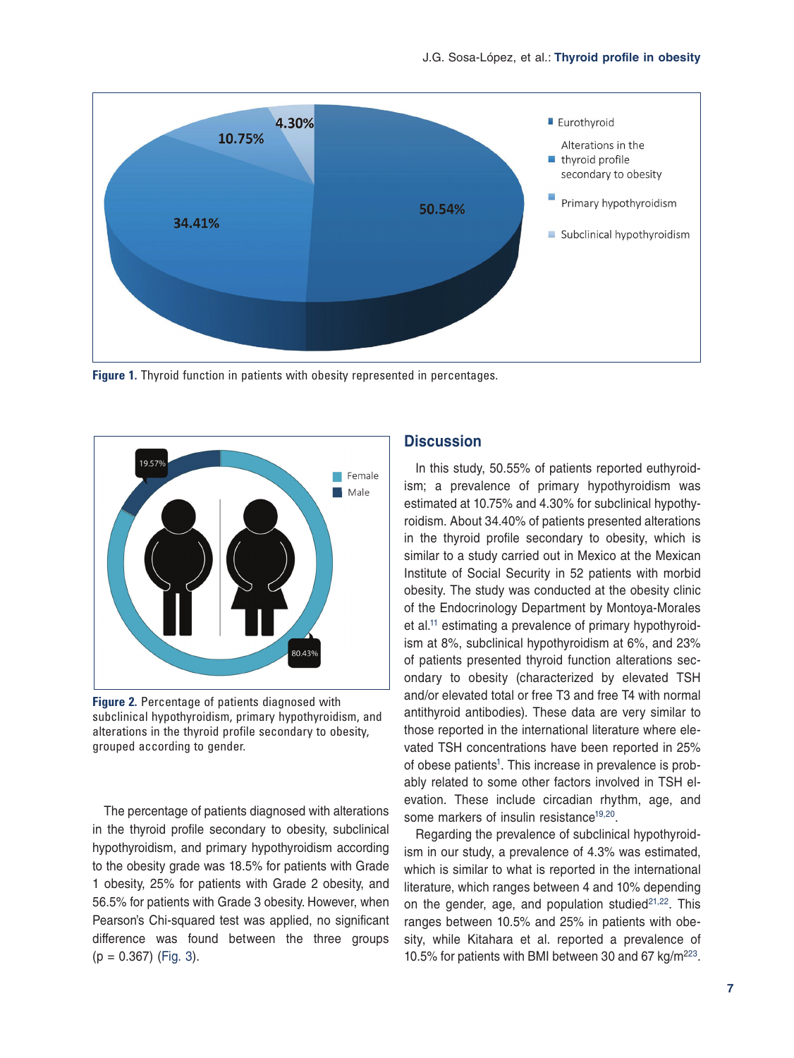

**Figure 1.** Thyroid function in patients with obesity represented in percentages.



**Figure 2.** Percentage of patients diagnosed with subclinical hypothyroidism, primary hypothyroidism, and alterations in the thyroid profile secondary to obesity, grouped according to gender.

The percentage of patients diagnosed with alterations in the thyroid profile secondary to obesity, subclinical hypothyroidism, and primary hypothyroidism according to the obesity grade was 18.5% for patients with Grade 1 obesity, 25% for patients with Grade 2 obesity, and 56.5% for patients with Grade 3 obesity. However, when Pearson's Chi-squared test was applied, no significant difference was found between the three groups  $(p = 0.367)$  (Fig. 3).

# **Discussion**

In this study, 50.55% of patients reported euthyroidism; a prevalence of primary hypothyroidism was estimated at 10.75% and 4.30% for subclinical hypothyroidism. About 34.40% of patients presented alterations in the thyroid profile secondary to obesity, which is similar to a study carried out in Mexico at the Mexican Institute of Social Security in 52 patients with morbid obesity. The study was conducted at the obesity clinic of the Endocrinology Department by Montoya-Morales et al.<sup>11</sup> estimating a prevalence of primary hypothyroidism at 8%, subclinical hypothyroidism at 6%, and 23% of patients presented thyroid function alterations secondary to obesity (characterized by elevated TSH and/or elevated total or free T3 and free T4 with normal antithyroid antibodies). These data are very similar to those reported in the international literature where elevated TSH concentrations have been reported in 25% of obese patients<sup>1</sup>. This increase in prevalence is probably related to some other factors involved in TSH elevation. These include circadian rhythm, age, and some markers of insulin resistance<sup>19,20</sup>.

Regarding the prevalence of subclinical hypothyroidism in our study, a prevalence of 4.3% was estimated, which is similar to what is reported in the international literature, which ranges between 4 and 10% depending on the gender, age, and population studied $21,22$ . This ranges between 10.5% and 25% in patients with obesity, while Kitahara et al. reported a prevalence of 10.5% for patients with BMI between 30 and 67 kg/m223.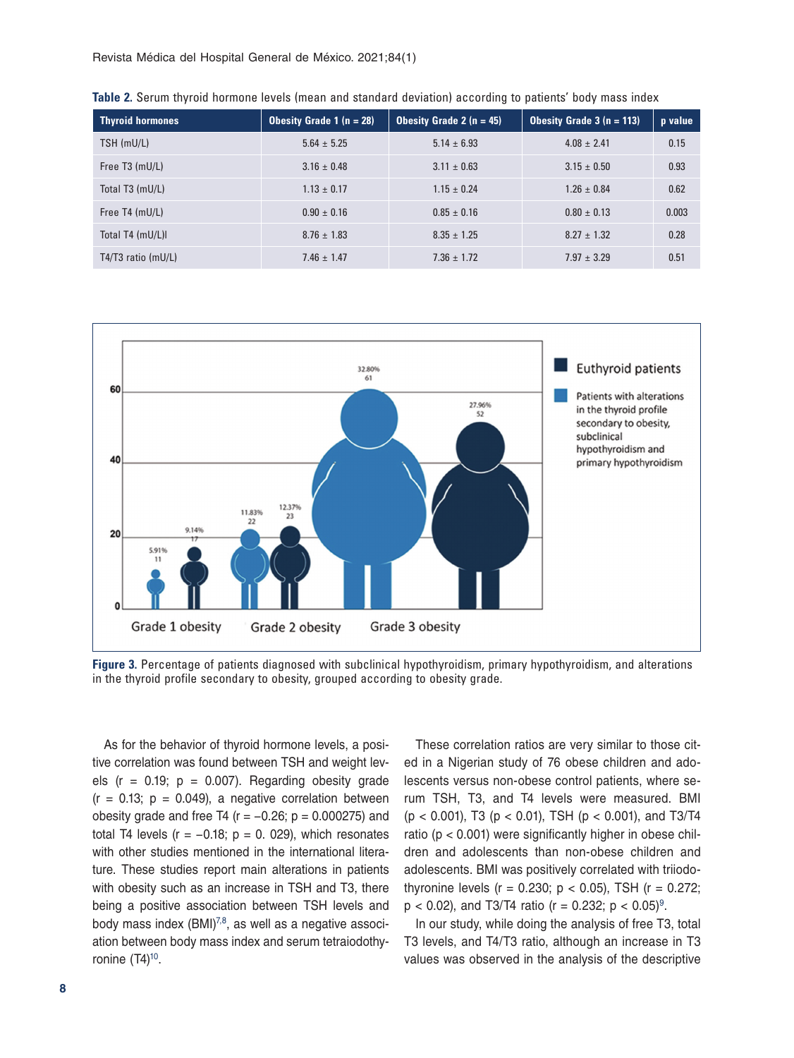Revista Médica del Hospital General de México. 2021;84(1)

| <b>Thyroid hormones</b> | <b>Obesity Grade 1 (n = 28)</b> | <b>Obesity Grade 2 (n = 45)</b> | <b>Obesity Grade 3 (n = 113)</b> | p value |
|-------------------------|---------------------------------|---------------------------------|----------------------------------|---------|
| TSH (mU/L)              | $5.64 \pm 5.25$                 | $5.14 \pm 6.93$                 | $4.08 \pm 2.41$                  | 0.15    |
| Free T3 (mU/L)          | $3.16 \pm 0.48$                 | $3.11 \pm 0.63$                 | $3.15 \pm 0.50$                  | 0.93    |
| Total T3 (mU/L)         | $1.13 \pm 0.17$                 | $1.15 \pm 0.24$                 | $1.26 \pm 0.84$                  | 0.62    |
| Free T4 (mU/L)          | $0.90 \pm 0.16$                 | $0.85 \pm 0.16$                 | $0.80 \pm 0.13$                  | 0.003   |
| Total T4 (mU/L)I        | $8.76 \pm 1.83$                 | $8.35 \pm 1.25$                 | $8.27 \pm 1.32$                  | 0.28    |
| $T4/T3$ ratio (mU/L)    | $7.46 \pm 1.47$                 | $7.36 \pm 1.72$                 | $7.97 \pm 3.29$                  | 0.51    |

**Table 2.** Serum thyroid hormone levels (mean and standard deviation) according to patients' body mass index



**Figure 3.** Percentage of patients diagnosed with subclinical hypothyroidism, primary hypothyroidism, and alterations in the thyroid profile secondary to obesity, grouped according to obesity grade.

As for the behavior of thyroid hormone levels, a positive correlation was found between TSH and weight levels ( $r = 0.19$ ;  $p = 0.007$ ). Regarding obesity grade  $(r = 0.13; p = 0.049)$ , a negative correlation between obesity grade and free T4 ( $r = -0.26$ ;  $p = 0.000275$ ) and total T4 levels ( $r = -0.18$ ;  $p = 0.029$ ), which resonates with other studies mentioned in the international literature. These studies report main alterations in patients with obesity such as an increase in TSH and T3, there being a positive association between TSH levels and body mass index (BMI)<sup>7,8</sup>, as well as a negative association between body mass index and serum tetraiodothyronine  $(T4)^{10}$ .

These correlation ratios are very similar to those cited in a Nigerian study of 76 obese children and adolescents versus non-obese control patients, where serum TSH, T3, and T4 levels were measured. BMI (p < 0.001), T3 (p < 0.01), TSH (p < 0.001), and T3/T4 ratio (p < 0.001) were significantly higher in obese children and adolescents than non-obese children and adolescents. BMI was positively correlated with triiodothyronine levels ( $r = 0.230$ ;  $p < 0.05$ ), TSH ( $r = 0.272$ ;  $p < 0.02$ ), and T3/T4 ratio (r = 0.232; p < 0.05)<sup>9</sup>.

In our study, while doing the analysis of free T3, total T3 levels, and T4/T3 ratio, although an increase in T3 values was observed in the analysis of the descriptive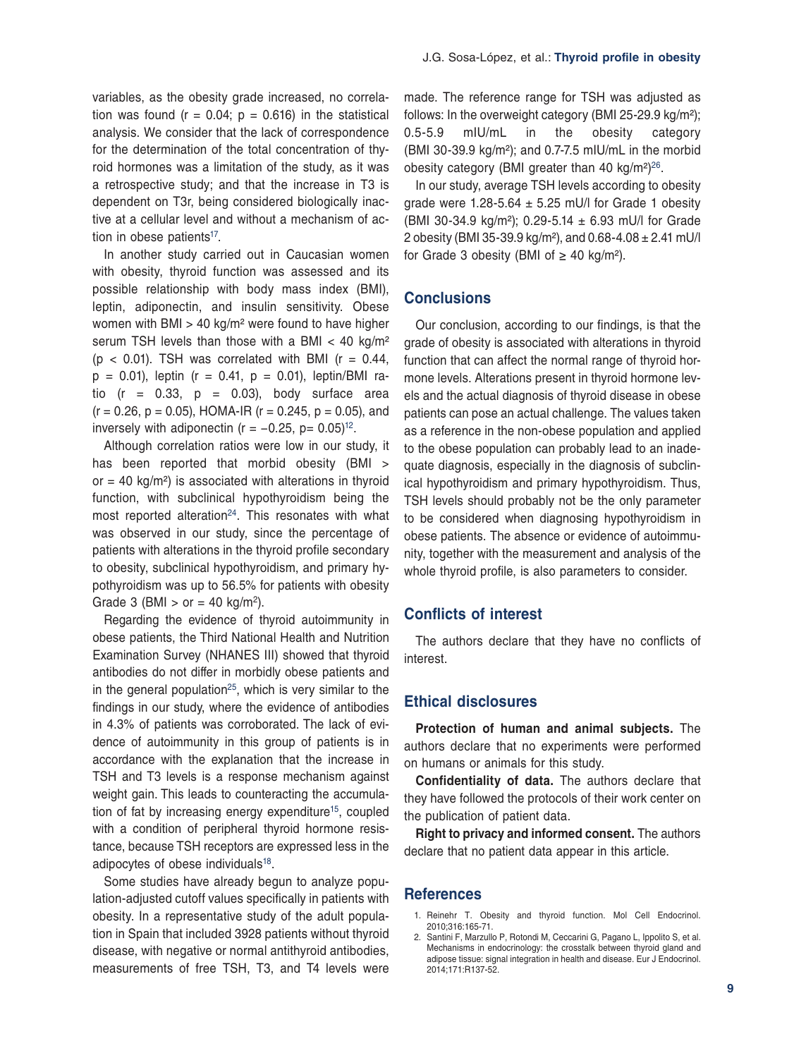variables, as the obesity grade increased, no correlation was found ( $r = 0.04$ ;  $p = 0.616$ ) in the statistical analysis. We consider that the lack of correspondence for the determination of the total concentration of thyroid hormones was a limitation of the study, as it was a retrospective study; and that the increase in T3 is dependent on T3r, being considered biologically inactive at a cellular level and without a mechanism of action in obese patients<sup>17</sup>.

In another study carried out in Caucasian women with obesity, thyroid function was assessed and its possible relationship with body mass index (BMI), leptin, adiponectin, and insulin sensitivity. Obese women with BMI  $>$  40 kg/m<sup>2</sup> were found to have higher serum TSH levels than those with a BMI  $<$  40 kg/m<sup>2</sup>  $(p < 0.01)$ . TSH was correlated with BMI  $(r = 0.44,$  $p = 0.01$ ), leptin (r = 0.41,  $p = 0.01$ ), leptin/BMI ratio ( $r = 0.33$ ,  $p = 0.03$ ), body surface area  $(r = 0.26, p = 0.05)$ , HOMA-IR  $(r = 0.245, p = 0.05)$ , and inversely with adiponectin ( $r = -0.25$ ,  $p = 0.05$ )<sup>12</sup>.

Although correlation ratios were low in our study, it has been reported that morbid obesity (BMI > or = 40  $kg/m<sup>2</sup>$ ) is associated with alterations in thyroid function, with subclinical hypothyroidism being the most reported alteration $24$ . This resonates with what was observed in our study, since the percentage of patients with alterations in the thyroid profile secondary to obesity, subclinical hypothyroidism, and primary hypothyroidism was up to 56.5% for patients with obesity Grade 3 (BMI  $>$  or = 40 kg/m<sup>2</sup>).

Regarding the evidence of thyroid autoimmunity in obese patients, the Third National Health and Nutrition Examination Survey (NHANES III) showed that thyroid antibodies do not differ in morbidly obese patients and in the general population<sup>25</sup>, which is very similar to the findings in our study, where the evidence of antibodies in 4.3% of patients was corroborated. The lack of evidence of autoimmunity in this group of patients is in accordance with the explanation that the increase in TSH and T3 levels is a response mechanism against weight gain. This leads to counteracting the accumulation of fat by increasing energy expenditure<sup>15</sup>, coupled with a condition of peripheral thyroid hormone resistance, because TSH receptors are expressed less in the adipocytes of obese individuals<sup>18</sup>.

Some studies have already begun to analyze population-adjusted cutoff values specifically in patients with obesity. In a representative study of the adult population in Spain that included 3928 patients without thyroid disease, with negative or normal antithyroid antibodies, measurements of free TSH, T3, and T4 levels were made. The reference range for TSH was adjusted as follows: In the overweight category (BMI 25-29.9 kg/m²); 0.5-5.9 mIU/mL in the obesity category (BMI 30-39.9 kg/m²); and 0.7-7.5 mIU/mL in the morbid obesity category (BMI greater than 40 kg/m<sup>2</sup>)<sup>26</sup>.

In our study, average TSH levels according to obesity grade were 1.28-5.64  $\pm$  5.25 mU/l for Grade 1 obesity (BMI 30-34.9 kg/m²); 0.29-5.14 ± 6.93 mU/l for Grade 2 obesity (BMI 35-39.9 kg/m²), and 0.68-4.08 ± 2.41 mU/l for Grade 3 obesity (BMI of  $\geq$  40 kg/m<sup>2</sup>).

# **Conclusions**

Our conclusion, according to our findings, is that the grade of obesity is associated with alterations in thyroid function that can affect the normal range of thyroid hormone levels. Alterations present in thyroid hormone levels and the actual diagnosis of thyroid disease in obese patients can pose an actual challenge. The values taken as a reference in the non-obese population and applied to the obese population can probably lead to an inadequate diagnosis, especially in the diagnosis of subclinical hypothyroidism and primary hypothyroidism. Thus, TSH levels should probably not be the only parameter to be considered when diagnosing hypothyroidism in obese patients. The absence or evidence of autoimmunity, together with the measurement and analysis of the whole thyroid profile, is also parameters to consider.

# **Conflicts of interest**

The authors declare that they have no conflicts of interest.

### **Ethical disclosures**

**Protection of human and animal subjects.** The authors declare that no experiments were performed on humans or animals for this study.

**Confidentiality of data.** The authors declare that they have followed the protocols of their work center on the publication of patient data.

**Right to privacy and informed consent.** The authors declare that no patient data appear in this article.

### **References**

- 1. Reinehr T. Obesity and thyroid function. Mol Cell Endocrinol. 2010;316:165-71.
- 2. Santini F, Marzullo P, Rotondi M, Ceccarini G, Pagano L, Ippolito S, et al. Mechanisms in endocrinology: the crosstalk between thyroid gland and adipose tissue: signal integration in health and disease. Eur J Endocrinol. 2014;171:R137-52.